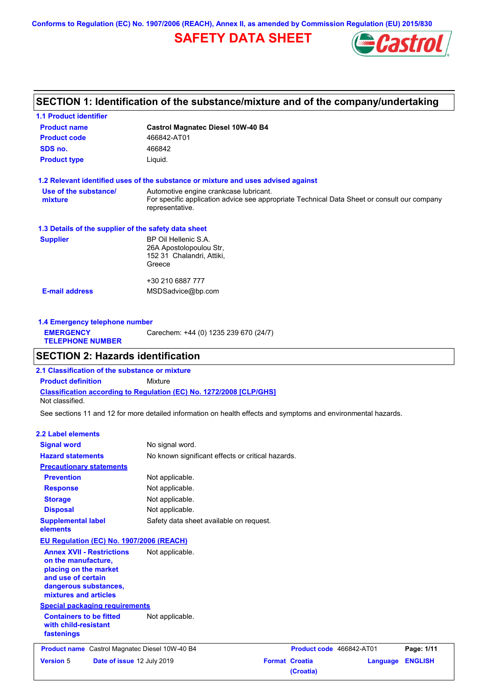**Conforms to Regulation (EC) No. 1907/2006 (REACH), Annex II, as amended by Commission Regulation (EU) 2015/830**

# **SAFETY DATA SHEET**



## **SECTION 1: Identification of the substance/mixture and of the company/undertaking**

| <b>1.1 Product identifier</b>                        |                                                                                                                                                          |
|------------------------------------------------------|----------------------------------------------------------------------------------------------------------------------------------------------------------|
| <b>Product name</b>                                  | <b>Castrol Magnatec Diesel 10W-40 B4</b>                                                                                                                 |
| <b>Product code</b>                                  | 466842-AT01                                                                                                                                              |
| SDS no.                                              | 466842                                                                                                                                                   |
| <b>Product type</b>                                  | Liquid.                                                                                                                                                  |
|                                                      | 1.2 Relevant identified uses of the substance or mixture and uses advised against                                                                        |
| Use of the substance/<br>mixture                     | Automotive engine crankcase lubricant.<br>For specific application advice see appropriate Technical Data Sheet or consult our company<br>representative. |
| 1.3 Details of the supplier of the safety data sheet |                                                                                                                                                          |
| <b>Supplier</b>                                      | BP Oil Hellenic S.A.<br>26A Apostolopoulou Str,<br>152 31 Chalandri, Attiki,<br>Greece                                                                   |
|                                                      | +30 210 6887 777                                                                                                                                         |
| <b>E-mail address</b>                                | MSDSadvice@bp.com                                                                                                                                        |
|                                                      |                                                                                                                                                          |

**1.4 Emergency telephone number EMERGENCY TELEPHONE NUMBER** Carechem: +44 (0) 1235 239 670 (24/7)

## **SECTION 2: Hazards identification**

**Classification according to Regulation (EC) No. 1272/2008 [CLP/GHS] 2.1 Classification of the substance or mixture Product definition** Mixture Not classified.

See sections 11 and 12 for more detailed information on health effects and symptoms and environmental hazards.

### **2.2 Label elements**

| <b>Signal word</b>                                                                                                                                       |                            | No signal word.                                   |                                    |                          |                |
|----------------------------------------------------------------------------------------------------------------------------------------------------------|----------------------------|---------------------------------------------------|------------------------------------|--------------------------|----------------|
| <b>Hazard statements</b>                                                                                                                                 |                            | No known significant effects or critical hazards. |                                    |                          |                |
| <b>Precautionary statements</b>                                                                                                                          |                            |                                                   |                                    |                          |                |
| <b>Prevention</b>                                                                                                                                        |                            | Not applicable.                                   |                                    |                          |                |
| <b>Response</b>                                                                                                                                          |                            | Not applicable.                                   |                                    |                          |                |
| <b>Storage</b>                                                                                                                                           |                            | Not applicable.                                   |                                    |                          |                |
| <b>Disposal</b>                                                                                                                                          |                            | Not applicable.                                   |                                    |                          |                |
| <b>Supplemental label</b><br>elements                                                                                                                    |                            | Safety data sheet available on request.           |                                    |                          |                |
| EU Regulation (EC) No. 1907/2006 (REACH)                                                                                                                 |                            |                                                   |                                    |                          |                |
| <b>Annex XVII - Restrictions</b><br>on the manufacture,<br>placing on the market<br>and use of certain<br>dangerous substances,<br>mixtures and articles |                            | Not applicable.                                   |                                    |                          |                |
| <b>Special packaging requirements</b>                                                                                                                    |                            |                                                   |                                    |                          |                |
| <b>Containers to be fitted</b><br>with child-resistant<br>fastenings                                                                                     |                            | Not applicable.                                   |                                    |                          |                |
| <b>Product name</b>                                                                                                                                      |                            | Castrol Magnatec Diesel 10W-40 B4                 |                                    | Product code 466842-AT01 | Page: 1/11     |
| <b>Version 5</b>                                                                                                                                         | Date of issue 12 July 2019 |                                                   | <b>Format Croatia</b><br>(Croatia) | Language                 | <b>ENGLISH</b> |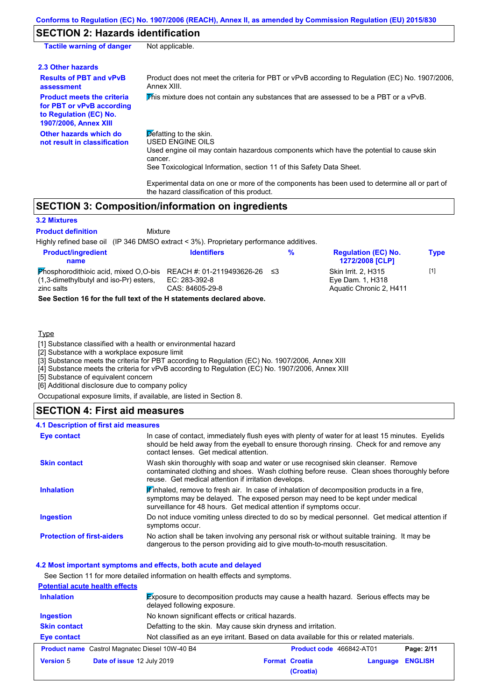## **SECTION 2: Hazards identification**

| <b>Tactile warning of danger</b>                                                                                         | Not applicable.                                                                                                                                                                                                                          |
|--------------------------------------------------------------------------------------------------------------------------|------------------------------------------------------------------------------------------------------------------------------------------------------------------------------------------------------------------------------------------|
| 2.3 Other hazards                                                                                                        |                                                                                                                                                                                                                                          |
| <b>Results of PBT and vPvB</b><br>assessment                                                                             | Product does not meet the criteria for PBT or vPvB according to Regulation (EC) No. 1907/2006,<br>Annex XIII.                                                                                                                            |
| <b>Product meets the criteria</b><br>for PBT or vPvB according<br>to Regulation (EC) No.<br><b>1907/2006, Annex XIII</b> | This mixture does not contain any substances that are assessed to be a PBT or a vPvB.                                                                                                                                                    |
| Other hazards which do<br>not result in classification                                                                   | $\triangleright$ efatting to the skin.<br>USED ENGINE OILS<br>Used engine oil may contain hazardous components which have the potential to cause skin<br>cancer.<br>See Toxicological Information, section 11 of this Safety Data Sheet. |
|                                                                                                                          | Experimental data on one or more of the components has been used to determine all or part of                                                                                                                                             |

the hazard classification of this product.

## **SECTION 3: Composition/information on ingredients**

Mixture

#### **3.2 Mixtures**

## **Product definition**

Highly refined base oil (IP 346 DMSO extract < 3%). Proprietary performance additives.

| <b>Product/ingredient</b><br>name                                                                                                | <b>Identifiers</b>               | % | <b>Requiation (EC) No.</b><br>1272/2008 [CLP]                             | <b>Type</b> |
|----------------------------------------------------------------------------------------------------------------------------------|----------------------------------|---|---------------------------------------------------------------------------|-------------|
| Phosphorodithioic acid, mixed O,O-bis REACH #: 01-2119493626-26 $\leq$ 3<br>(1,3-dimethylbutyl and iso-Pr) esters,<br>zinc salts | EC: 283-392-8<br>CAS: 84605-29-8 |   | <b>Skin Irrit. 2. H315</b><br>Eve Dam. 1. H318<br>Aquatic Chronic 2, H411 | [1]         |
|                                                                                                                                  |                                  |   |                                                                           |             |

**See Section 16 for the full text of the H statements declared above.**

## Type

[1] Substance classified with a health or environmental hazard

[2] Substance with a workplace exposure limit

[3] Substance meets the criteria for PBT according to Regulation (EC) No. 1907/2006, Annex XIII

[4] Substance meets the criteria for vPvB according to Regulation (EC) No. 1907/2006, Annex XIII

[5] Substance of equivalent concern

[6] Additional disclosure due to company policy

Occupational exposure limits, if available, are listed in Section 8.

## **SECTION 4: First aid measures**

## **4.1 Description of first aid measures**

| Eye contact                       | In case of contact, immediately flush eyes with plenty of water for at least 15 minutes. Eyelids<br>should be held away from the eyeball to ensure thorough rinsing. Check for and remove any<br>contact lenses. Get medical attention.             |
|-----------------------------------|-----------------------------------------------------------------------------------------------------------------------------------------------------------------------------------------------------------------------------------------------------|
| <b>Skin contact</b>               | Wash skin thoroughly with soap and water or use recognised skin cleanser. Remove<br>contaminated clothing and shoes. Wash clothing before reuse. Clean shoes thoroughly before<br>reuse. Get medical attention if irritation develops.              |
| <b>Inhalation</b>                 | If inhaled, remove to fresh air. In case of inhalation of decomposition products in a fire,<br>symptoms may be delayed. The exposed person may need to be kept under medical<br>surveillance for 48 hours. Get medical attention if symptoms occur. |
| <b>Ingestion</b>                  | Do not induce vomiting unless directed to do so by medical personnel. Get medical attention if<br>symptoms occur.                                                                                                                                   |
| <b>Protection of first-aiders</b> | No action shall be taken involving any personal risk or without suitable training. It may be<br>dangerous to the person providing aid to give mouth-to-mouth resuscitation.                                                                         |

#### **4.2 Most important symptoms and effects, both acute and delayed**

See Section 11 for more detailed information on health effects and symptoms.

|                     | <b>Potential acute health effects</b>                         |                                                                                             |          |                |
|---------------------|---------------------------------------------------------------|---------------------------------------------------------------------------------------------|----------|----------------|
| <b>Inhalation</b>   | delayed following exposure.                                   | <b>Exposure to decomposition products may cause a health hazard. Serious effects may be</b> |          |                |
| Ingestion           | No known significant effects or critical hazards.             |                                                                                             |          |                |
| <b>Skin contact</b> | Defatting to the skin. May cause skin dryness and irritation. |                                                                                             |          |                |
| Eye contact         |                                                               | Not classified as an eye irritant. Based on data available for this or related materials.   |          |                |
|                     | <b>Product name</b> Castrol Magnatec Diesel 10W-40 B4         | Product code 466842-AT01                                                                    |          | Page: 2/11     |
| <b>Version 5</b>    | Date of issue 12 July 2019                                    | <b>Format Croatia</b>                                                                       | Language | <b>ENGLISH</b> |
|                     |                                                               | (Croatia)                                                                                   |          |                |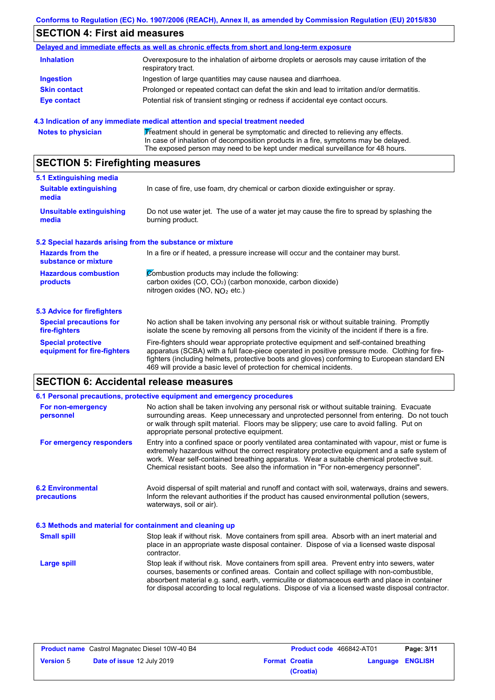# **SECTION 4: First aid measures**

|                     | Delayed and immediate effects as well as chronic effects from short and long-term exposure                        |
|---------------------|-------------------------------------------------------------------------------------------------------------------|
| <b>Inhalation</b>   | Overexposure to the inhalation of airborne droplets or aerosols may cause irritation of the<br>respiratory tract. |
| <b>Ingestion</b>    | Ingestion of large quantities may cause nausea and diarrhoea.                                                     |
| <b>Skin contact</b> | Prolonged or repeated contact can defat the skin and lead to irritation and/or dermatitis.                        |
| Eye contact         | Potential risk of transient stinging or redness if accidental eye contact occurs.                                 |

## **4.3 Indication of any immediate medical attention and special treatment needed**

|  | <b>Notes to physician</b> | Treatment should in general be symptomatic and directed to relieving any effects.<br>In case of inhalation of decomposition products in a fire, symptoms may be delayed.<br>The exposed person may need to be kept under medical surveillance for 48 hours. |
|--|---------------------------|-------------------------------------------------------------------------------------------------------------------------------------------------------------------------------------------------------------------------------------------------------------|
|--|---------------------------|-------------------------------------------------------------------------------------------------------------------------------------------------------------------------------------------------------------------------------------------------------------|

# **SECTION 5: Firefighting measures**

| 5.1 Extinguishing media                                                                                                    |                                                                                                                                                                                                                                                                                                                                                                   |  |  |  |
|----------------------------------------------------------------------------------------------------------------------------|-------------------------------------------------------------------------------------------------------------------------------------------------------------------------------------------------------------------------------------------------------------------------------------------------------------------------------------------------------------------|--|--|--|
| In case of fire, use foam, dry chemical or carbon dioxide extinguisher or spray.<br><b>Suitable extinguishing</b><br>media |                                                                                                                                                                                                                                                                                                                                                                   |  |  |  |
| <b>Unsuitable extinguishing</b><br>media                                                                                   | Do not use water jet. The use of a water jet may cause the fire to spread by splashing the<br>burning product.                                                                                                                                                                                                                                                    |  |  |  |
| 5.2 Special hazards arising from the substance or mixture                                                                  |                                                                                                                                                                                                                                                                                                                                                                   |  |  |  |
| <b>Hazards from the</b><br>substance or mixture                                                                            | In a fire or if heated, a pressure increase will occur and the container may burst.                                                                                                                                                                                                                                                                               |  |  |  |
| <b>Hazardous combustion</b><br>products                                                                                    | Combustion products may include the following:<br>carbon oxides (CO, CO <sub>2</sub> ) (carbon monoxide, carbon dioxide)<br>nitrogen oxides (NO, $NQ_2$ etc.)                                                                                                                                                                                                     |  |  |  |
| 5.3 Advice for firefighters                                                                                                |                                                                                                                                                                                                                                                                                                                                                                   |  |  |  |
| <b>Special precautions for</b><br>fire-fighters                                                                            | No action shall be taken involving any personal risk or without suitable training. Promptly<br>isolate the scene by removing all persons from the vicinity of the incident if there is a fire.                                                                                                                                                                    |  |  |  |
| <b>Special protective</b><br>equipment for fire-fighters                                                                   | Fire-fighters should wear appropriate protective equipment and self-contained breathing<br>apparatus (SCBA) with a full face-piece operated in positive pressure mode. Clothing for fire-<br>fighters (including helmets, protective boots and gloves) conforming to European standard EN<br>469 will provide a basic level of protection for chemical incidents. |  |  |  |

# **SECTION 6: Accidental release measures**

|                                                                                                                                                                                                                                                                        | 6.1 Personal precautions, protective equipment and emergency procedures                                                                                                                                                                                                                                                                                                                        |  |  |  |  |
|------------------------------------------------------------------------------------------------------------------------------------------------------------------------------------------------------------------------------------------------------------------------|------------------------------------------------------------------------------------------------------------------------------------------------------------------------------------------------------------------------------------------------------------------------------------------------------------------------------------------------------------------------------------------------|--|--|--|--|
| For non-emergency<br>personnel                                                                                                                                                                                                                                         | No action shall be taken involving any personal risk or without suitable training. Evacuate<br>surrounding areas. Keep unnecessary and unprotected personnel from entering. Do not touch<br>or walk through spilt material. Floors may be slippery; use care to avoid falling. Put on<br>appropriate personal protective equipment.                                                            |  |  |  |  |
| For emergency responders                                                                                                                                                                                                                                               | Entry into a confined space or poorly ventilated area contaminated with vapour, mist or fume is<br>extremely hazardous without the correct respiratory protective equipment and a safe system of<br>work. Wear self-contained breathing apparatus. Wear a suitable chemical protective suit.<br>Chemical resistant boots. See also the information in "For non-emergency personnel".           |  |  |  |  |
| <b>6.2 Environmental</b><br>Avoid dispersal of spilt material and runoff and contact with soil, waterways, drains and sewers.<br>Inform the relevant authorities if the product has caused environmental pollution (sewers,<br>precautions<br>waterways, soil or air). |                                                                                                                                                                                                                                                                                                                                                                                                |  |  |  |  |
| 6.3 Methods and material for containment and cleaning up                                                                                                                                                                                                               |                                                                                                                                                                                                                                                                                                                                                                                                |  |  |  |  |
| Stop leak if without risk. Move containers from spill area. Absorb with an inert material and<br><b>Small spill</b><br>place in an appropriate waste disposal container. Dispose of via a licensed waste disposal<br>contractor.                                       |                                                                                                                                                                                                                                                                                                                                                                                                |  |  |  |  |
| Large spill                                                                                                                                                                                                                                                            | Stop leak if without risk. Move containers from spill area. Prevent entry into sewers, water<br>courses, basements or confined areas. Contain and collect spillage with non-combustible,<br>absorbent material e.g. sand, earth, vermiculite or diatomaceous earth and place in container<br>for disposal according to local regulations. Dispose of via a licensed waste disposal contractor. |  |  |  |  |

| <b>Product name</b> Castrol Magnatec Diesel 10W-40 B4 |                                   | <b>Product code</b> 466842-AT01 |                       | Page: 3/11              |  |
|-------------------------------------------------------|-----------------------------------|---------------------------------|-----------------------|-------------------------|--|
| <b>Version 5</b>                                      | <b>Date of issue 12 July 2019</b> |                                 | <b>Format Croatia</b> | <b>Language ENGLISH</b> |  |
|                                                       |                                   |                                 | (Croatia)             |                         |  |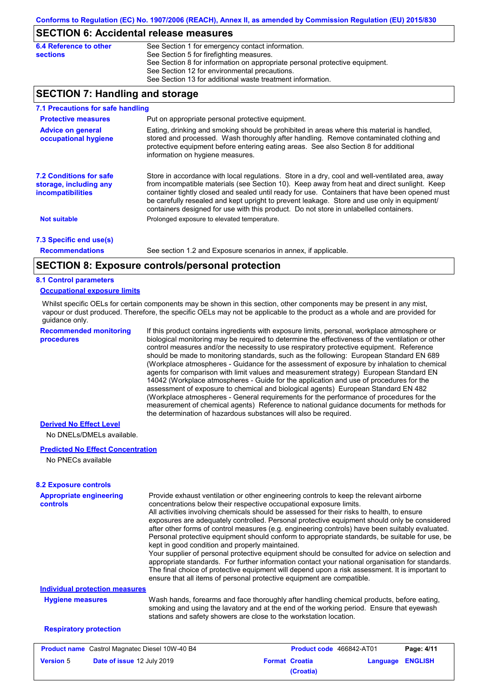## **SECTION 6: Accidental release measures**

| 6.4 Reference to other | See Section 1 for emergency contact information.                            |
|------------------------|-----------------------------------------------------------------------------|
| sections               | See Section 5 for firefighting measures.                                    |
|                        | See Section 8 for information on appropriate personal protective equipment. |
|                        | See Section 12 for environmental precautions.                               |
|                        | See Section 13 for additional waste treatment information.                  |

## **SECTION 7: Handling and storage**

| 7.1 Precautions for safe handling                                             |                                                                                                                                                                                                                                                                                                                                                                                                                                                                                          |  |  |  |  |
|-------------------------------------------------------------------------------|------------------------------------------------------------------------------------------------------------------------------------------------------------------------------------------------------------------------------------------------------------------------------------------------------------------------------------------------------------------------------------------------------------------------------------------------------------------------------------------|--|--|--|--|
| <b>Protective measures</b>                                                    | Put on appropriate personal protective equipment.                                                                                                                                                                                                                                                                                                                                                                                                                                        |  |  |  |  |
| <b>Advice on general</b><br>occupational hygiene                              | Eating, drinking and smoking should be prohibited in areas where this material is handled,<br>stored and processed. Wash thoroughly after handling. Remove contaminated clothing and<br>protective equipment before entering eating areas. See also Section 8 for additional<br>information on hygiene measures.                                                                                                                                                                         |  |  |  |  |
| <b>7.2 Conditions for safe</b><br>storage, including any<br>incompatibilities | Store in accordance with local requiations. Store in a dry, cool and well-ventilated area, away<br>from incompatible materials (see Section 10). Keep away from heat and direct sunlight. Keep<br>container tightly closed and sealed until ready for use. Containers that have been opened must<br>be carefully resealed and kept upright to prevent leakage. Store and use only in equipment/<br>containers designed for use with this product. Do not store in unlabelled containers. |  |  |  |  |
| <b>Not suitable</b>                                                           | Prolonged exposure to elevated temperature.                                                                                                                                                                                                                                                                                                                                                                                                                                              |  |  |  |  |
| 7.3 Specific end use(s)                                                       |                                                                                                                                                                                                                                                                                                                                                                                                                                                                                          |  |  |  |  |
| <b>Recommendations</b>                                                        | See section 1.2 and Exposure scenarios in annex, if applicable.                                                                                                                                                                                                                                                                                                                                                                                                                          |  |  |  |  |
|                                                                               |                                                                                                                                                                                                                                                                                                                                                                                                                                                                                          |  |  |  |  |

## **SECTION 8: Exposure controls/personal protection**

#### **8.1 Control parameters**

#### **Occupational exposure limits**

Whilst specific OELs for certain components may be shown in this section, other components may be present in any mist, vapour or dust produced. Therefore, the specific OELs may not be applicable to the product as a whole and are provided for guidance only.

**Recommended monitoring procedures** If this product contains ingredients with exposure limits, personal, workplace atmosphere or

biological monitoring may be required to determine the effectiveness of the ventilation or other control measures and/or the necessity to use respiratory protective equipment. Reference should be made to monitoring standards, such as the following: European Standard EN 689 (Workplace atmospheres - Guidance for the assessment of exposure by inhalation to chemical agents for comparison with limit values and measurement strategy) European Standard EN 14042 (Workplace atmospheres - Guide for the application and use of procedures for the assessment of exposure to chemical and biological agents) European Standard EN 482 (Workplace atmospheres - General requirements for the performance of procedures for the measurement of chemical agents) Reference to national guidance documents for methods for the determination of hazardous substances will also be required.

## **Derived No Effect Level**

No DNELs/DMELs available.

#### **Predicted No Effect Concentration**

No PNECs available

| <b>8.2 Exposure controls</b>                          |                                                                                                                                                                                                                                                                                                                                                                                                                                                                                                                                                                                                                                                                                                                                                                                                                                                                                                                                                                                                         |                                    |          |                |
|-------------------------------------------------------|---------------------------------------------------------------------------------------------------------------------------------------------------------------------------------------------------------------------------------------------------------------------------------------------------------------------------------------------------------------------------------------------------------------------------------------------------------------------------------------------------------------------------------------------------------------------------------------------------------------------------------------------------------------------------------------------------------------------------------------------------------------------------------------------------------------------------------------------------------------------------------------------------------------------------------------------------------------------------------------------------------|------------------------------------|----------|----------------|
| <b>Appropriate engineering</b><br>controls            | Provide exhaust ventilation or other engineering controls to keep the relevant airborne<br>concentrations below their respective occupational exposure limits.<br>All activities involving chemicals should be assessed for their risks to health, to ensure<br>exposures are adequately controlled. Personal protective equipment should only be considered<br>after other forms of control measures (e.g. engineering controls) have been suitably evaluated.<br>Personal protective equipment should conform to appropriate standards, be suitable for use, be<br>kept in good condition and properly maintained.<br>Your supplier of personal protective equipment should be consulted for advice on selection and<br>appropriate standards. For further information contact your national organisation for standards.<br>The final choice of protective equipment will depend upon a risk assessment. It is important to<br>ensure that all items of personal protective equipment are compatible. |                                    |          |                |
| <b>Individual protection measures</b>                 |                                                                                                                                                                                                                                                                                                                                                                                                                                                                                                                                                                                                                                                                                                                                                                                                                                                                                                                                                                                                         |                                    |          |                |
| <b>Hygiene measures</b>                               | Wash hands, forearms and face thoroughly after handling chemical products, before eating,<br>smoking and using the lavatory and at the end of the working period. Ensure that eyewash<br>stations and safety showers are close to the workstation location.                                                                                                                                                                                                                                                                                                                                                                                                                                                                                                                                                                                                                                                                                                                                             |                                    |          |                |
| <b>Respiratory protection</b>                         |                                                                                                                                                                                                                                                                                                                                                                                                                                                                                                                                                                                                                                                                                                                                                                                                                                                                                                                                                                                                         |                                    |          |                |
| <b>Product name</b> Castrol Magnatec Diesel 10W-40 B4 |                                                                                                                                                                                                                                                                                                                                                                                                                                                                                                                                                                                                                                                                                                                                                                                                                                                                                                                                                                                                         | <b>Product code</b> 466842-AT01    |          | Page: 4/11     |
| <b>Version 5</b><br><b>Date of issue 12 July 2019</b> |                                                                                                                                                                                                                                                                                                                                                                                                                                                                                                                                                                                                                                                                                                                                                                                                                                                                                                                                                                                                         | <b>Format Croatia</b><br>(Croatia) | Language | <b>ENGLISH</b> |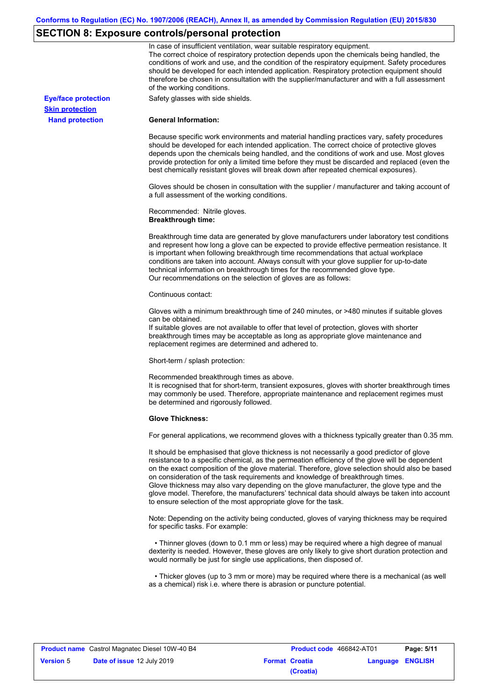# **SECTION 8: Exposure controls/personal protection**

|                            | In case of insufficient ventilation, wear suitable respiratory equipment.<br>The correct choice of respiratory protection depends upon the chemicals being handled, the<br>conditions of work and use, and the condition of the respiratory equipment. Safety procedures<br>should be developed for each intended application. Respiratory protection equipment should<br>therefore be chosen in consultation with the supplier/manufacturer and with a full assessment<br>of the working conditions.                                                                                                                                             |
|----------------------------|---------------------------------------------------------------------------------------------------------------------------------------------------------------------------------------------------------------------------------------------------------------------------------------------------------------------------------------------------------------------------------------------------------------------------------------------------------------------------------------------------------------------------------------------------------------------------------------------------------------------------------------------------|
| <b>Eye/face protection</b> | Safety glasses with side shields.                                                                                                                                                                                                                                                                                                                                                                                                                                                                                                                                                                                                                 |
| <b>Skin protection</b>     |                                                                                                                                                                                                                                                                                                                                                                                                                                                                                                                                                                                                                                                   |
| <b>Hand protection</b>     | <b>General Information:</b>                                                                                                                                                                                                                                                                                                                                                                                                                                                                                                                                                                                                                       |
|                            | Because specific work environments and material handling practices vary, safety procedures<br>should be developed for each intended application. The correct choice of protective gloves<br>depends upon the chemicals being handled, and the conditions of work and use. Most gloves<br>provide protection for only a limited time before they must be discarded and replaced (even the<br>best chemically resistant gloves will break down after repeated chemical exposures).                                                                                                                                                                  |
|                            | Gloves should be chosen in consultation with the supplier / manufacturer and taking account of<br>a full assessment of the working conditions.                                                                                                                                                                                                                                                                                                                                                                                                                                                                                                    |
|                            | Recommended: Nitrile gloves.<br><b>Breakthrough time:</b>                                                                                                                                                                                                                                                                                                                                                                                                                                                                                                                                                                                         |
|                            | Breakthrough time data are generated by glove manufacturers under laboratory test conditions<br>and represent how long a glove can be expected to provide effective permeation resistance. It<br>is important when following breakthrough time recommendations that actual workplace<br>conditions are taken into account. Always consult with your glove supplier for up-to-date<br>technical information on breakthrough times for the recommended glove type.<br>Our recommendations on the selection of gloves are as follows:                                                                                                                |
|                            | Continuous contact:                                                                                                                                                                                                                                                                                                                                                                                                                                                                                                                                                                                                                               |
|                            | Gloves with a minimum breakthrough time of 240 minutes, or >480 minutes if suitable gloves<br>can be obtained.<br>If suitable gloves are not available to offer that level of protection, gloves with shorter<br>breakthrough times may be acceptable as long as appropriate glove maintenance and<br>replacement regimes are determined and adhered to.                                                                                                                                                                                                                                                                                          |
|                            | Short-term / splash protection:                                                                                                                                                                                                                                                                                                                                                                                                                                                                                                                                                                                                                   |
|                            | Recommended breakthrough times as above.<br>It is recognised that for short-term, transient exposures, gloves with shorter breakthrough times<br>may commonly be used. Therefore, appropriate maintenance and replacement regimes must<br>be determined and rigorously followed.                                                                                                                                                                                                                                                                                                                                                                  |
|                            | <b>Glove Thickness:</b>                                                                                                                                                                                                                                                                                                                                                                                                                                                                                                                                                                                                                           |
|                            | For general applications, we recommend gloves with a thickness typically greater than 0.35 mm.                                                                                                                                                                                                                                                                                                                                                                                                                                                                                                                                                    |
|                            | It should be emphasised that glove thickness is not necessarily a good predictor of glove<br>resistance to a specific chemical, as the permeation efficiency of the glove will be dependent<br>on the exact composition of the glove material. Therefore, glove selection should also be based<br>on consideration of the task requirements and knowledge of breakthrough times.<br>Glove thickness may also vary depending on the glove manufacturer, the glove type and the<br>glove model. Therefore, the manufacturers' technical data should always be taken into account<br>to ensure selection of the most appropriate glove for the task. |
|                            | Note: Depending on the activity being conducted, gloves of varying thickness may be required<br>for specific tasks. For example:                                                                                                                                                                                                                                                                                                                                                                                                                                                                                                                  |
|                            | • Thinner gloves (down to 0.1 mm or less) may be required where a high degree of manual<br>dexterity is needed. However, these gloves are only likely to give short duration protection and<br>would normally be just for single use applications, then disposed of.                                                                                                                                                                                                                                                                                                                                                                              |
|                            | • Thicker gloves (up to 3 mm or more) may be required where there is a mechanical (as well<br>as a chemical) risk i.e. where there is abrasion or puncture potential.                                                                                                                                                                                                                                                                                                                                                                                                                                                                             |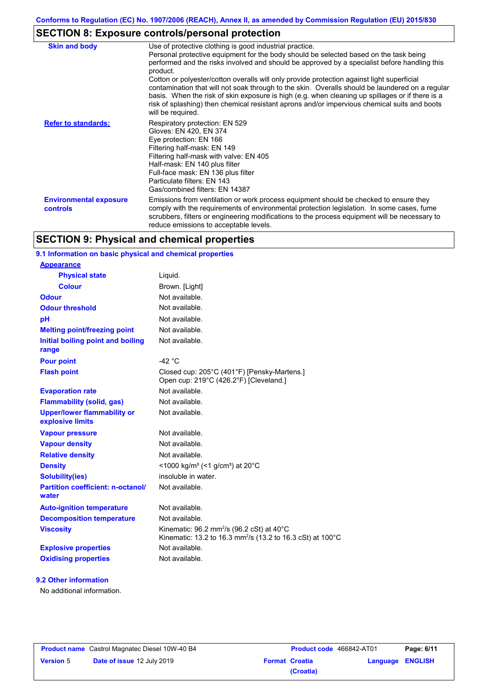# **SECTION 8: Exposure controls/personal protection**

| <b>Skin and body</b>                             | Use of protective clothing is good industrial practice.<br>Personal protective equipment for the body should be selected based on the task being<br>performed and the risks involved and should be approved by a specialist before handling this<br>product.<br>Cotton or polyester/cotton overalls will only provide protection against light superficial<br>contamination that will not soak through to the skin. Overalls should be laundered on a regular<br>basis. When the risk of skin exposure is high (e.g. when cleaning up spillages or if there is a<br>risk of splashing) then chemical resistant aprons and/or impervious chemical suits and boots<br>will be required. |
|--------------------------------------------------|---------------------------------------------------------------------------------------------------------------------------------------------------------------------------------------------------------------------------------------------------------------------------------------------------------------------------------------------------------------------------------------------------------------------------------------------------------------------------------------------------------------------------------------------------------------------------------------------------------------------------------------------------------------------------------------|
| <b>Refer to standards:</b>                       | Respiratory protection: EN 529<br>Gloves: EN 420, EN 374<br>Eye protection: EN 166<br>Filtering half-mask: EN 149<br>Filtering half-mask with valve: EN 405<br>Half-mask: EN 140 plus filter<br>Full-face mask: EN 136 plus filter<br>Particulate filters: EN 143<br>Gas/combined filters: EN 14387                                                                                                                                                                                                                                                                                                                                                                                   |
| <b>Environmental exposure</b><br><b>controls</b> | Emissions from ventilation or work process equipment should be checked to ensure they<br>comply with the requirements of environmental protection legislation. In some cases, fume<br>scrubbers, filters or engineering modifications to the process equipment will be necessary to<br>reduce emissions to acceptable levels.                                                                                                                                                                                                                                                                                                                                                         |

## **SECTION 9: Physical and chemical properties**

## **9.1 Information on basic physical and chemical properties**

| <b>Appearance</b>                                      |                                                                                                                                                |
|--------------------------------------------------------|------------------------------------------------------------------------------------------------------------------------------------------------|
| <b>Physical state</b>                                  | Liquid.                                                                                                                                        |
| <b>Colour</b>                                          | Brown. [Light]                                                                                                                                 |
| <b>Odour</b>                                           | Not available.                                                                                                                                 |
| <b>Odour threshold</b>                                 | Not available.                                                                                                                                 |
| pH                                                     | Not available.                                                                                                                                 |
| <b>Melting point/freezing point</b>                    | Not available.                                                                                                                                 |
| Initial boiling point and boiling<br>range             | Not available.                                                                                                                                 |
| <b>Pour point</b>                                      | $-42$ °C                                                                                                                                       |
| <b>Flash point</b>                                     | Closed cup: 205°C (401°F) [Pensky-Martens.]<br>Open cup: 219°C (426.2°F) [Cleveland.]                                                          |
| <b>Evaporation rate</b>                                | Not available.                                                                                                                                 |
| <b>Flammability (solid, gas)</b>                       | Not available.                                                                                                                                 |
| <b>Upper/lower flammability or</b><br>explosive limits | Not available.                                                                                                                                 |
| <b>Vapour pressure</b>                                 | Not available.                                                                                                                                 |
| <b>Vapour density</b>                                  | Not available.                                                                                                                                 |
| <b>Relative density</b>                                | Not available.                                                                                                                                 |
| <b>Density</b>                                         | <1000 kg/m <sup>3</sup> (<1 g/cm <sup>3</sup> ) at 20 <sup>°</sup> C                                                                           |
| <b>Solubility(ies)</b>                                 | insoluble in water.                                                                                                                            |
| <b>Partition coefficient: n-octanol/</b><br>water      | Not available.                                                                                                                                 |
| <b>Auto-ignition temperature</b>                       | Not available.                                                                                                                                 |
| <b>Decomposition temperature</b>                       | Not available.                                                                                                                                 |
| <b>Viscosity</b>                                       | Kinematic: $96.2$ mm <sup>2</sup> /s ( $96.2$ cSt) at $40^{\circ}$ C<br>Kinematic: 13.2 to 16.3 mm <sup>2</sup> /s (13.2 to 16.3 cSt) at 100°C |
| <b>Explosive properties</b>                            | Not available.                                                                                                                                 |
| <b>Oxidising properties</b>                            | Not available.                                                                                                                                 |

## **9.2 Other information**

No additional information.

|                  | <b>Product name</b> Castrol Magnatec Diesel 10W-40 B4 |
|------------------|-------------------------------------------------------|
| <b>Version 5</b> | Date of issue 12 July 2019                            |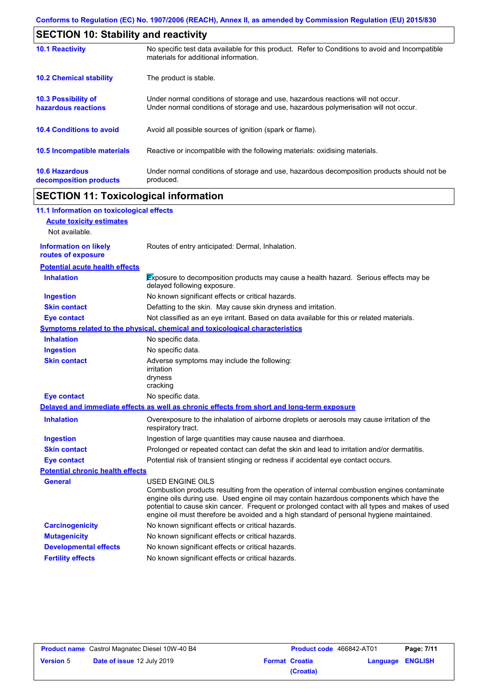| <b>SECTION 10: Stability and reactivity</b>       |                                                                                                                                                                         |  |  |
|---------------------------------------------------|-------------------------------------------------------------------------------------------------------------------------------------------------------------------------|--|--|
| <b>10.1 Reactivity</b>                            | No specific test data available for this product. Refer to Conditions to avoid and Incompatible<br>materials for additional information.                                |  |  |
| <b>10.2 Chemical stability</b>                    | The product is stable.                                                                                                                                                  |  |  |
| <b>10.3 Possibility of</b><br>hazardous reactions | Under normal conditions of storage and use, hazardous reactions will not occur.<br>Under normal conditions of storage and use, hazardous polymerisation will not occur. |  |  |
| <b>10.4 Conditions to avoid</b>                   | Avoid all possible sources of ignition (spark or flame).                                                                                                                |  |  |
| 10.5 Incompatible materials                       | Reactive or incompatible with the following materials: oxidising materials.                                                                                             |  |  |
| <b>10.6 Hazardous</b><br>decomposition products   | Under normal conditions of storage and use, hazardous decomposition products should not be<br>produced.                                                                 |  |  |

## **SECTION 11: Toxicological information**

 $\mathbf I$ 

| 11.1 Information on toxicological effects          |                                                                                                                                                                                                                                                                                                                                                                                                                 |
|----------------------------------------------------|-----------------------------------------------------------------------------------------------------------------------------------------------------------------------------------------------------------------------------------------------------------------------------------------------------------------------------------------------------------------------------------------------------------------|
| <b>Acute toxicity estimates</b>                    |                                                                                                                                                                                                                                                                                                                                                                                                                 |
| Not available.                                     |                                                                                                                                                                                                                                                                                                                                                                                                                 |
| <b>Information on likely</b><br>routes of exposure | Routes of entry anticipated: Dermal, Inhalation.                                                                                                                                                                                                                                                                                                                                                                |
| <b>Potential acute health effects</b>              |                                                                                                                                                                                                                                                                                                                                                                                                                 |
| <b>Inhalation</b>                                  | Exposure to decomposition products may cause a health hazard. Serious effects may be<br>delayed following exposure.                                                                                                                                                                                                                                                                                             |
| <b>Ingestion</b>                                   | No known significant effects or critical hazards.                                                                                                                                                                                                                                                                                                                                                               |
| <b>Skin contact</b>                                | Defatting to the skin. May cause skin dryness and irritation.                                                                                                                                                                                                                                                                                                                                                   |
| <b>Eye contact</b>                                 | Not classified as an eye irritant. Based on data available for this or related materials.                                                                                                                                                                                                                                                                                                                       |
|                                                    | <b>Symptoms related to the physical, chemical and toxicological characteristics</b>                                                                                                                                                                                                                                                                                                                             |
| <b>Inhalation</b>                                  | No specific data.                                                                                                                                                                                                                                                                                                                                                                                               |
| <b>Ingestion</b>                                   | No specific data.                                                                                                                                                                                                                                                                                                                                                                                               |
| <b>Skin contact</b>                                | Adverse symptoms may include the following:<br>irritation<br>dryness<br>cracking                                                                                                                                                                                                                                                                                                                                |
| <b>Eye contact</b>                                 | No specific data.                                                                                                                                                                                                                                                                                                                                                                                               |
|                                                    | Delayed and immediate effects as well as chronic effects from short and long-term exposure                                                                                                                                                                                                                                                                                                                      |
| <b>Inhalation</b>                                  | Overexposure to the inhalation of airborne droplets or aerosols may cause irritation of the<br>respiratory tract.                                                                                                                                                                                                                                                                                               |
| <b>Ingestion</b>                                   | Ingestion of large quantities may cause nausea and diarrhoea.                                                                                                                                                                                                                                                                                                                                                   |
| <b>Skin contact</b>                                | Prolonged or repeated contact can defat the skin and lead to irritation and/or dermatitis.                                                                                                                                                                                                                                                                                                                      |
| <b>Eye contact</b>                                 | Potential risk of transient stinging or redness if accidental eye contact occurs.                                                                                                                                                                                                                                                                                                                               |
| <b>Potential chronic health effects</b>            |                                                                                                                                                                                                                                                                                                                                                                                                                 |
| <b>General</b>                                     | <b>USED ENGINE OILS</b><br>Combustion products resulting from the operation of internal combustion engines contaminate<br>engine oils during use. Used engine oil may contain hazardous components which have the<br>potential to cause skin cancer. Frequent or prolonged contact with all types and makes of used<br>engine oil must therefore be avoided and a high standard of personal hygiene maintained. |
| <b>Carcinogenicity</b>                             | No known significant effects or critical hazards.                                                                                                                                                                                                                                                                                                                                                               |
| <b>Mutagenicity</b>                                | No known significant effects or critical hazards.                                                                                                                                                                                                                                                                                                                                                               |
| <b>Developmental effects</b>                       | No known significant effects or critical hazards.                                                                                                                                                                                                                                                                                                                                                               |
| <b>Fertility effects</b>                           | No known significant effects or critical hazards.                                                                                                                                                                                                                                                                                                                                                               |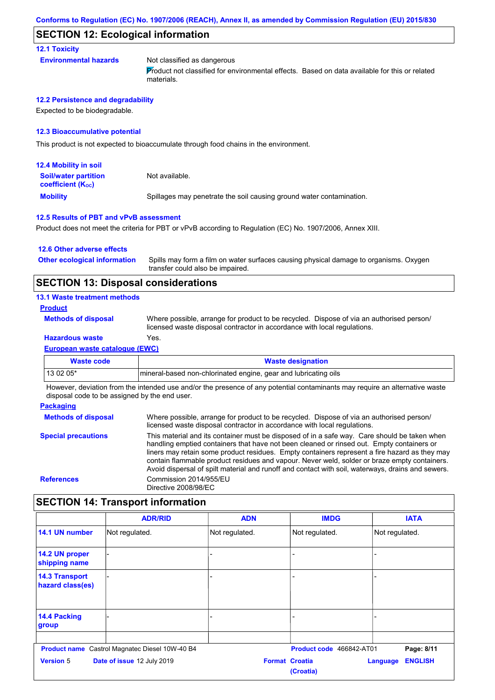## **SECTION 12: Ecological information**

**12.1 Toxicity**

**Environmental hazards** Not classified as dangerous

Product not classified for environmental effects. Based on data available for this or related materials.

#### **12.2 Persistence and degradability**

Expected to be biodegradable.

#### **12.3 Bioaccumulative potential**

This product is not expected to bioaccumulate through food chains in the environment.

| <b>12.4 Mobility in soil</b>                            |                                                                      |
|---------------------------------------------------------|----------------------------------------------------------------------|
| <b>Soil/water partition</b><br><b>coefficient (Koc)</b> | Not available.                                                       |
| <b>Mobility</b>                                         | Spillages may penetrate the soil causing ground water contamination. |

#### **12.5 Results of PBT and vPvB assessment**

Product does not meet the criteria for PBT or vPvB according to Regulation (EC) No. 1907/2006, Annex XIII.

#### **12.6 Other adverse effects**

Spills may form a film on water surfaces causing physical damage to organisms. Oxygen transfer could also be impaired. **Other ecological information**

## **SECTION 13: Disposal considerations**

#### **13.1 Waste treatment methods**

#### **Product**

**Methods of disposal**

Where possible, arrange for product to be recycled. Dispose of via an authorised person/ licensed waste disposal contractor in accordance with local regulations.

## **Hazardous waste** Yes.

**European waste catalogue (EWC)**

| Waste code                                                                                                                   | <b>Waste designation</b>                                         |  |  |
|------------------------------------------------------------------------------------------------------------------------------|------------------------------------------------------------------|--|--|
| $130205*$                                                                                                                    | Imineral-based non-chlorinated engine, gear and lubricating oils |  |  |
| . However, development the bited of the conditions are completed to the standard and accepted the condition of the condition |                                                                  |  |  |

However, deviation from the intended use and/or the presence of any potential contaminants may require an alternative waste disposal code to be assigned by the end user.

#### **Packaging Methods of disposal Special precautions** Where possible, arrange for product to be recycled. Dispose of via an authorised person/ licensed waste disposal contractor in accordance with local regulations. This material and its container must be disposed of in a safe way. Care should be taken when handling emptied containers that have not been cleaned or rinsed out. Empty containers or liners may retain some product residues. Empty containers represent a fire hazard as they may contain flammable product residues and vapour. Never weld, solder or braze empty containers. Avoid dispersal of spilt material and runoff and contact with soil, waterways, drains and sewers. **References** Commission 2014/955/EU Directive 2008/98/EC

## **SECTION 14: Transport information**

|                                           | <b>ADR/RID</b>                                        | <b>ADN</b>            | <b>IMDG</b>              | <b>IATA</b>                |
|-------------------------------------------|-------------------------------------------------------|-----------------------|--------------------------|----------------------------|
| 14.1 UN number                            | Not regulated.                                        | Not regulated.        | Not regulated.           | Not regulated.             |
| 14.2 UN proper<br>shipping name           |                                                       |                       |                          |                            |
| <b>14.3 Transport</b><br>hazard class(es) |                                                       |                       |                          |                            |
| 14.4 Packing<br>group                     |                                                       |                       |                          |                            |
|                                           | <b>Product name</b> Castrol Magnatec Diesel 10W-40 B4 |                       | Product code 466842-AT01 | Page: 8/11                 |
| <b>Version 5</b>                          | Date of issue 12 July 2019                            | <b>Format Croatia</b> | (Croatia)                | <b>ENGLISH</b><br>Language |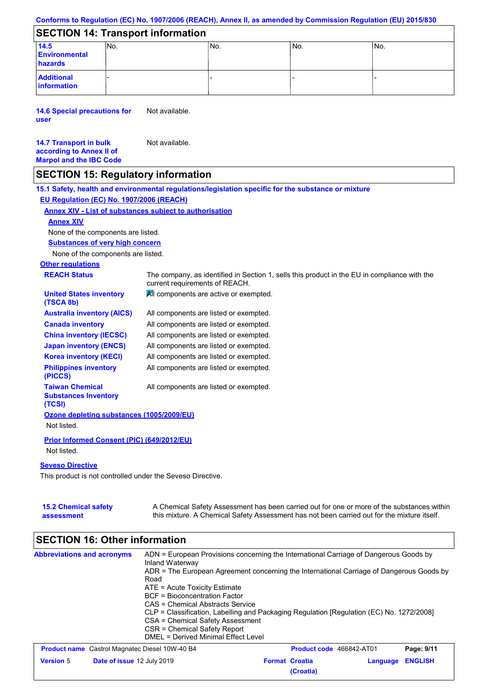### **Conforms to Regulation (EC) No. 1907/2006 (REACH), Annex II, as amended by Commission Regulation (EU) 2015/830**

## **SECTION 14: Transport information**

| __________________________________ |      |      |     |                 |  |
|------------------------------------|------|------|-----|-----------------|--|
| 14.5                               | INo. | 'No. | No. | IN <sub>o</sub> |  |
| <b>Environmental</b>               |      |      |     |                 |  |
| hazards                            |      |      |     |                 |  |
| <b>Additional</b><br>information   |      |      |     |                 |  |

**14.6 Special precautions for user** Not available.

#### **14.7 Transport in bulk according to Annex II of Marpol and the IBC Code** Not available.

## **SECTION 15: Regulatory information**

**Other regulations REACH Status** The company, as identified in Section 1, sells this product in the EU in compliance with the current requirements of REACH. **15.1 Safety, health and environmental regulations/legislation specific for the substance or mixture EU Regulation (EC) No. 1907/2006 (REACH) Annex XIV - List of substances subject to authorisation Substances of very high concern** None of the components are listed. All components are listed or exempted. All components are listed or exempted. All components are listed or exempted. All components are listed or exempted. All components are active or exempted. All components are listed or exempted. All components are listed or exempted. **United States inventory (TSCA 8b) Australia inventory (AICS) Canada inventory China inventory (IECSC) Japan inventory (ENCS) Korea inventory (KECI) Philippines inventory (PICCS) Taiwan Chemical Substances Inventory (TCSI)** All components are listed or exempted. **Ozone depleting substances (1005/2009/EU)** Not listed. **Prior Informed Consent (PIC) (649/2012/EU)** Not listed. **Seveso Directive** This product is not controlled under the Seveso Directive. None of the components are listed. **Annex XIV**

| <b>15.2 Chemical safety</b> | A Chemical Safety Assessment has been carried out for one or more of the substances within  |
|-----------------------------|---------------------------------------------------------------------------------------------|
| assessment                  | this mixture. A Chemical Safety Assessment has not been carried out for the mixture itself. |

#### **SECTION 16: Other information Abbreviations and acronyms** ADN = European Provisions concerning the International Carriage of Dangerous Goods by Inland Waterway ADR = The European Agreement concerning the International Carriage of Dangerous Goods by Road ATE = Acute Toxicity Estimate BCF = Bioconcentration Factor CAS = Chemical Abstracts Service CLP = Classification, Labelling and Packaging Regulation [Regulation (EC) No. 1272/2008] CSA = Chemical Safety Assessment CSR = Chemical Safety Report DMEL = Derived Minimal Effect Level **Product name** Castrol Magnatec Diesel 10W-40 B4 **Product Code 466842-AT01 Page: 9/11 Version** 5 **Date of issue** 12 July 2019 **Format Croatia Language ENGLISH (Croatia)**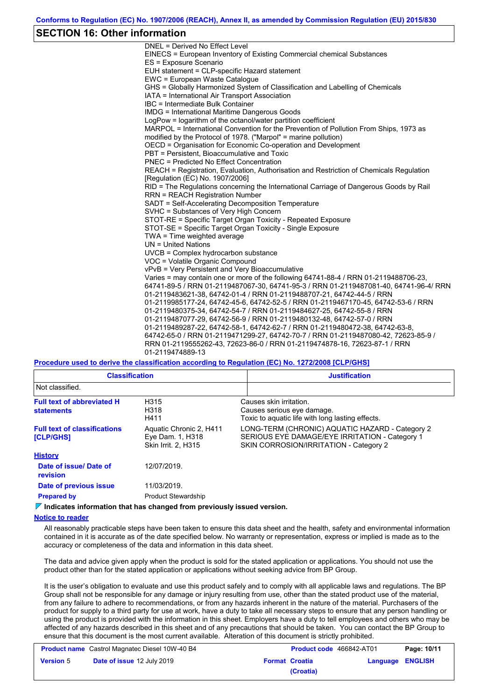## **SECTION 16: Other information**

DNEL = Derived No Effect Level EINECS = European Inventory of Existing Commercial chemical Substances ES = Exposure Scenario EUH statement = CLP-specific Hazard statement EWC = European Waste Catalogue GHS = Globally Harmonized System of Classification and Labelling of Chemicals IATA = International Air Transport Association IBC = Intermediate Bulk Container IMDG = International Maritime Dangerous Goods LogPow = logarithm of the octanol/water partition coefficient MARPOL = International Convention for the Prevention of Pollution From Ships, 1973 as modified by the Protocol of 1978. ("Marpol" = marine pollution) OECD = Organisation for Economic Co-operation and Development PBT = Persistent, Bioaccumulative and Toxic PNEC = Predicted No Effect Concentration REACH = Registration, Evaluation, Authorisation and Restriction of Chemicals Regulation [Regulation (EC) No. 1907/2006] RID = The Regulations concerning the International Carriage of Dangerous Goods by Rail RRN = REACH Registration Number SADT = Self-Accelerating Decomposition Temperature SVHC = Substances of Very High Concern STOT-RE = Specific Target Organ Toxicity - Repeated Exposure STOT-SE = Specific Target Organ Toxicity - Single Exposure TWA = Time weighted average UN = United Nations UVCB = Complex hydrocarbon substance VOC = Volatile Organic Compound vPvB = Very Persistent and Very Bioaccumulative Varies = may contain one or more of the following 64741-88-4 / RRN 01-2119488706-23, 64741-89-5 / RRN 01-2119487067-30, 64741-95-3 / RRN 01-2119487081-40, 64741-96-4/ RRN 01-2119483621-38, 64742-01-4 / RRN 01-2119488707-21, 64742-44-5 / RRN 01-2119985177-24, 64742-45-6, 64742-52-5 / RRN 01-2119467170-45, 64742-53-6 / RRN 01-2119480375-34, 64742-54-7 / RRN 01-2119484627-25, 64742-55-8 / RRN 01-2119487077-29, 64742-56-9 / RRN 01-2119480132-48, 64742-57-0 / RRN 01-2119489287-22, 64742-58-1, 64742-62-7 / RRN 01-2119480472-38, 64742-63-8, 64742-65-0 / RRN 01-2119471299-27, 64742-70-7 / RRN 01-2119487080-42, 72623-85-9 / RRN 01-2119555262-43, 72623-86-0 / RRN 01-2119474878-16, 72623-87-1 / RRN 01-2119474889-13

### **Procedure used to derive the classification according to Regulation (EC) No. 1272/2008 [CLP/GHS]**

| <b>Classification</b>                                   |                                                                           | <b>Justification</b>                                                                                                                        |  |  |  |  |
|---------------------------------------------------------|---------------------------------------------------------------------------|---------------------------------------------------------------------------------------------------------------------------------------------|--|--|--|--|
| Not classified.                                         |                                                                           |                                                                                                                                             |  |  |  |  |
| <b>Full text of abbreviated H</b><br><b>statements</b>  | H315<br>H318<br>H411                                                      | Causes skin irritation.<br>Causes serious eye damage.<br>Toxic to aquatic life with long lasting effects.                                   |  |  |  |  |
| <b>Full text of classifications</b><br><b>[CLP/GHS]</b> | Aquatic Chronic 2, H411<br>Eye Dam. 1, H318<br><b>Skin Irrit. 2. H315</b> | LONG-TERM (CHRONIC) AQUATIC HAZARD - Category 2<br>SERIOUS EYE DAMAGE/EYE IRRITATION - Category 1<br>SKIN CORROSION/IRRITATION - Category 2 |  |  |  |  |
| <b>History</b>                                          |                                                                           |                                                                                                                                             |  |  |  |  |
| Date of issue/Date of<br>revision                       | 12/07/2019.                                                               |                                                                                                                                             |  |  |  |  |
| Date of previous issue                                  | 11/03/2019.                                                               |                                                                                                                                             |  |  |  |  |
| <b>Prepared by</b>                                      | <b>Product Stewardship</b>                                                |                                                                                                                                             |  |  |  |  |

#### **Indicates information that has changed from previously issued version.**

### **Notice to reader**

All reasonably practicable steps have been taken to ensure this data sheet and the health, safety and environmental information contained in it is accurate as of the date specified below. No warranty or representation, express or implied is made as to the accuracy or completeness of the data and information in this data sheet.

The data and advice given apply when the product is sold for the stated application or applications. You should not use the product other than for the stated application or applications without seeking advice from BP Group.

It is the user's obligation to evaluate and use this product safely and to comply with all applicable laws and regulations. The BP Group shall not be responsible for any damage or injury resulting from use, other than the stated product use of the material, from any failure to adhere to recommendations, or from any hazards inherent in the nature of the material. Purchasers of the product for supply to a third party for use at work, have a duty to take all necessary steps to ensure that any person handling or using the product is provided with the information in this sheet. Employers have a duty to tell employees and others who may be affected of any hazards described in this sheet and of any precautions that should be taken. You can contact the BP Group to ensure that this document is the most current available. Alteration of this document is strictly prohibited.

| <b>Product name</b> Castrol Magnatec Diesel 10W-40 B4 |                                   |  | <b>Product code</b> 466842-AT01 | Page: 10/11             |  |
|-------------------------------------------------------|-----------------------------------|--|---------------------------------|-------------------------|--|
| <b>Version 5</b>                                      | <b>Date of issue 12 July 2019</b> |  | <b>Format Croatia</b>           | <b>Language ENGLISH</b> |  |
|                                                       |                                   |  | (Croatia)                       |                         |  |